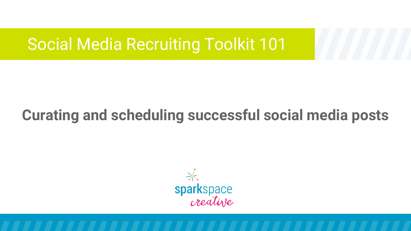# **Curating and scheduling successful social media posts**

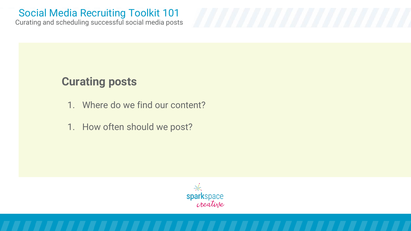Curating and scheduling successful social media posts

### **Curating posts**

- 1. Where do we find our content?
- 1. How often should we post?

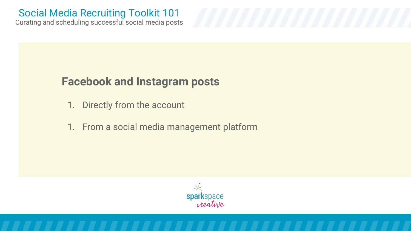Curating and scheduling successful social media posts

### **Facebook and Instagram posts**

- 1. Directly from the account
- 1. From a social media management platform

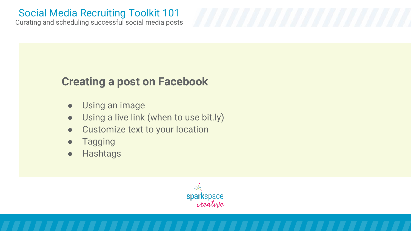Curating and scheduling successful social media posts

## **Creating a post on Facebook**

- Using an image
- Using a live link (when to use bit.ly)
- Customize text to your location
- Tagging
- Hashtags

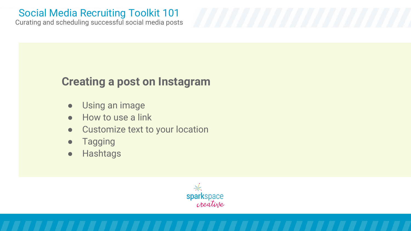Curating and scheduling successful social media posts

### **Creating a post on Instagram**

- Using an image
- How to use a link
- Customize text to your location
- Tagging
- Hashtags

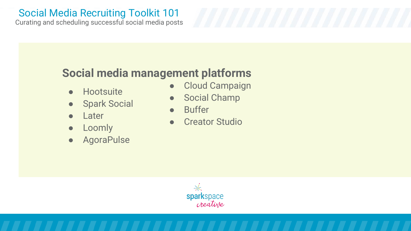Curating and scheduling successful social media posts

## **Social media management platforms**

- Hootsuite
- Spark Social
- Later
- Loomly
- **AgoraPulse**
- Cloud Campaign
- **Social Champ**
- **Buffer**
- Creator Studio

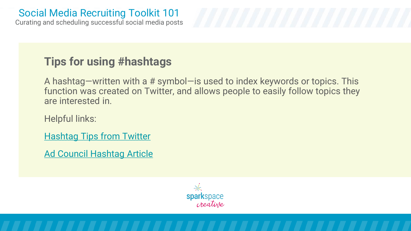Curating and scheduling successful social media posts Social Media Recruiting Toolkit 101

## **Tips for using #hashtags**

A hashtag—written with a # symbol—is used to index keywords or topics. This function was created on Twitter, and allows people to easily follow topics they are interested in.

Helpful links:

[Hashtag Tips from Twitter](https://help.twitter.com/en/using-twitter/how-to-use-hashtags)

[Ad Council Hashtag Article](https://www.adcouncil.org/hashtag-etiquette-the-dos-and-donts-of-hashtags?gclid=CjwKCAjwmv-DBhAMEiwA7xYrd9DQNghUudopBsQY4fznyqPQQIq9oMIscJP2XCxsHkM4w0VEe1aEFhoCg_QQAvD_BwE)